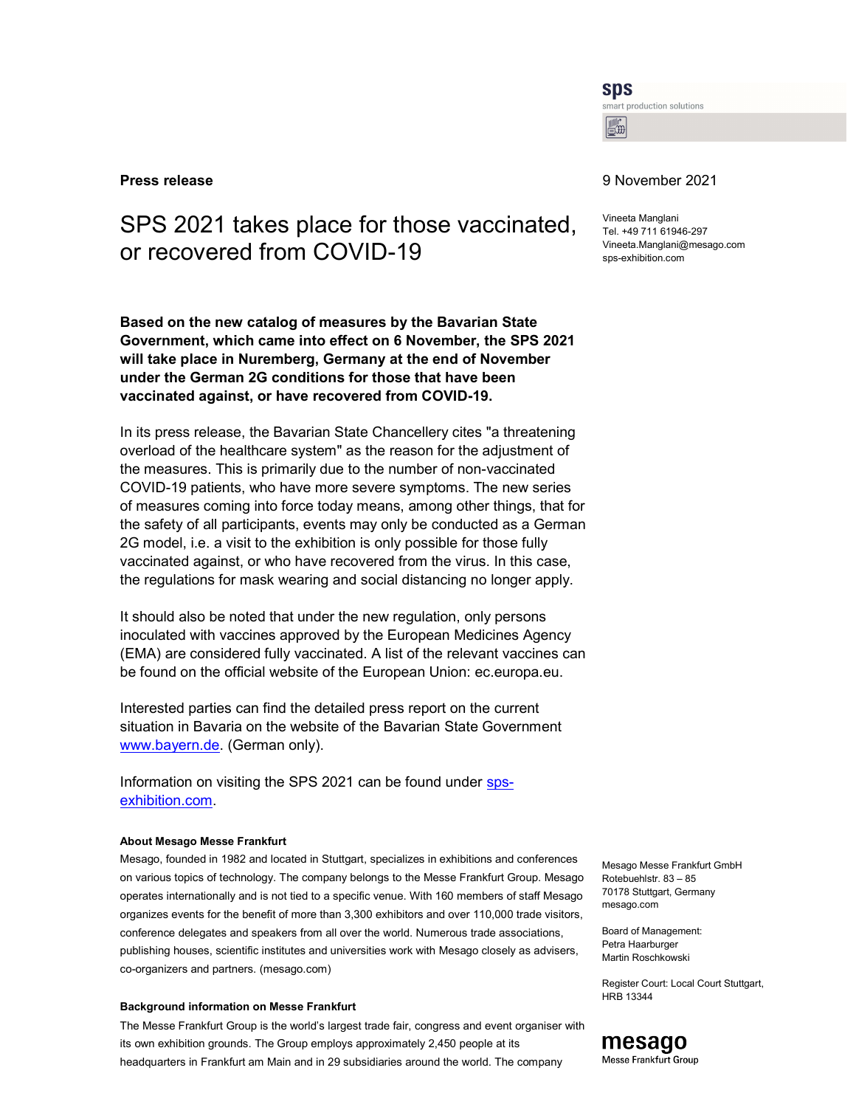**SDS** 

smart production solutions  $\boxed{\mathbb{R}^2}$ 

# SPS 2021 takes place for those vaccinated, or recovered from COVID-19

Based on the new catalog of measures by the Bavarian State Government, which came into effect on 6 November, the SPS 2021 will take place in Nuremberg, Germany at the end of November under the German 2G conditions for those that have been vaccinated against, or have recovered from COVID-19.

In its press release, the Bavarian State Chancellery cites "a threatening overload of the healthcare system" as the reason for the adjustment of the measures. This is primarily due to the number of non-vaccinated COVID-19 patients, who have more severe symptoms. The new series of measures coming into force today means, among other things, that for the safety of all participants, events may only be conducted as a German 2G model, i.e. a visit to the exhibition is only possible for those fully vaccinated against, or who have recovered from the virus. In this case, the regulations for mask wearing and social distancing no longer apply.

It should also be noted that under the new regulation, only persons inoculated with vaccines approved by the European Medicines Agency (EMA) are considered fully vaccinated. A list of the relevant vaccines can be found on the official website of the European Union: ec.europa.eu.

Interested parties can find the detailed press report on the current situation in Bavaria on the website of the Bavarian State Government www.bayern.de. (German only).

Information on visiting the SPS 2021 can be found under spsexhibition.com.

### About Mesago Messe Frankfurt

Mesago, founded in 1982 and located in Stuttgart, specializes in exhibitions and conferences on various topics of technology. The company belongs to the Messe Frankfurt Group. Mesago operates internationally and is not tied to a specific venue. With 160 members of staff Mesago organizes events for the benefit of more than 3,300 exhibitors and over 110,000 trade visitors, conference delegates and speakers from all over the world. Numerous trade associations, publishing houses, scientific institutes and universities work with Mesago closely as advisers, co-organizers and partners. (mesago.com)

#### Background information on Messe Frankfurt

The Messe Frankfurt Group is the world's largest trade fair, congress and event organiser with its own exhibition grounds. The Group employs approximately 2,450 people at its headquarters in Frankfurt am Main and in 29 subsidiaries around the world. The company

## **Press release** 9 November 2021

Vineeta Manglani Tel. +49 711 61946-297 Vineeta.Manglani@mesago.com sps-exhibition.com

Mesago Messe Frankfurt GmbH Rotebuehlstr. 83 – 85 70178 Stuttgart, Germany mesago.com

Board of Management: Petra Haarburger Martin Roschkowski

Register Court: Local Court Stuttgart, HRB 13344

# mesago

Messe Frankfurt Group